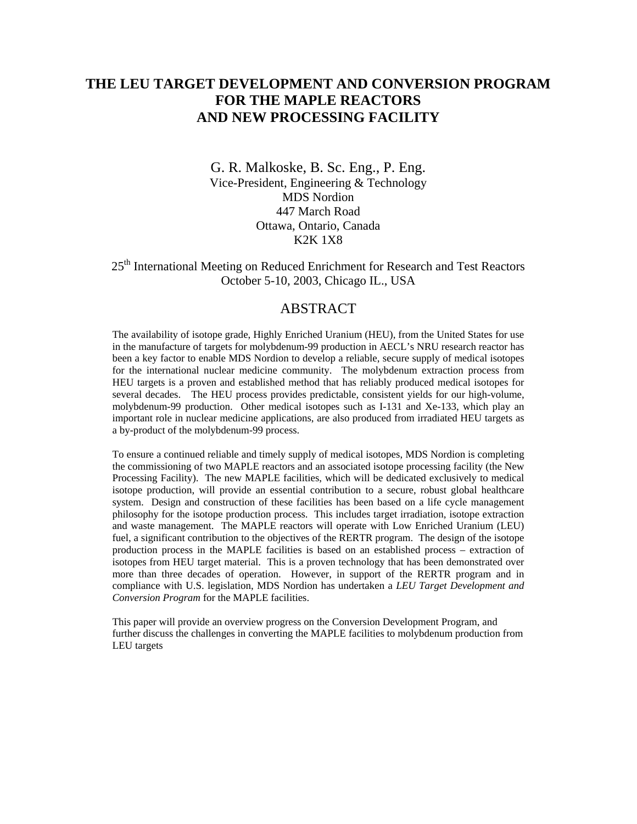# **THE LEU TARGET DEVELOPMENT AND CONVERSION PROGRAM FOR THE MAPLE REACTORS AND NEW PROCESSING FACILITY**

G. R. Malkoske, B. Sc. Eng., P. Eng. Vice-President, Engineering & Technology MDS Nordion 447 March Road Ottawa, Ontario, Canada K2K 1X8

25<sup>th</sup> International Meeting on Reduced Enrichment for Research and Test Reactors October 5-10, 2003, Chicago IL., USA

#### ABSTRACT

The availability of isotope grade, Highly Enriched Uranium (HEU), from the United States for use in the manufacture of targets for molybdenum-99 production in AECL's NRU research reactor has been a key factor to enable MDS Nordion to develop a reliable, secure supply of medical isotopes for the international nuclear medicine community. The molybdenum extraction process from HEU targets is a proven and established method that has reliably produced medical isotopes for several decades. The HEU process provides predictable, consistent yields for our high-volume, molybdenum-99 production. Other medical isotopes such as I-131 and Xe-133, which play an important role in nuclear medicine applications, are also produced from irradiated HEU targets as a by-product of the molybdenum-99 process.

To ensure a continued reliable and timely supply of medical isotopes, MDS Nordion is completing the commissioning of two MAPLE reactors and an associated isotope processing facility (the New Processing Facility). The new MAPLE facilities, which will be dedicated exclusively to medical isotope production, will provide an essential contribution to a secure, robust global healthcare system. Design and construction of these facilities has been based on a life cycle management philosophy for the isotope production process. This includes target irradiation, isotope extraction and waste management. The MAPLE reactors will operate with Low Enriched Uranium (LEU) fuel, a significant contribution to the objectives of the RERTR program. The design of the isotope production process in the MAPLE facilities is based on an established process – extraction of isotopes from HEU target material. This is a proven technology that has been demonstrated over more than three decades of operation. However, in support of the RERTR program and in compliance with U.S. legislation, MDS Nordion has undertaken a *LEU Target Development and Conversion Program* for the MAPLE facilities.

This paper will provide an overview progress on the Conversion Development Program, and further discuss the challenges in converting the MAPLE facilities to molybdenum production from LEU targets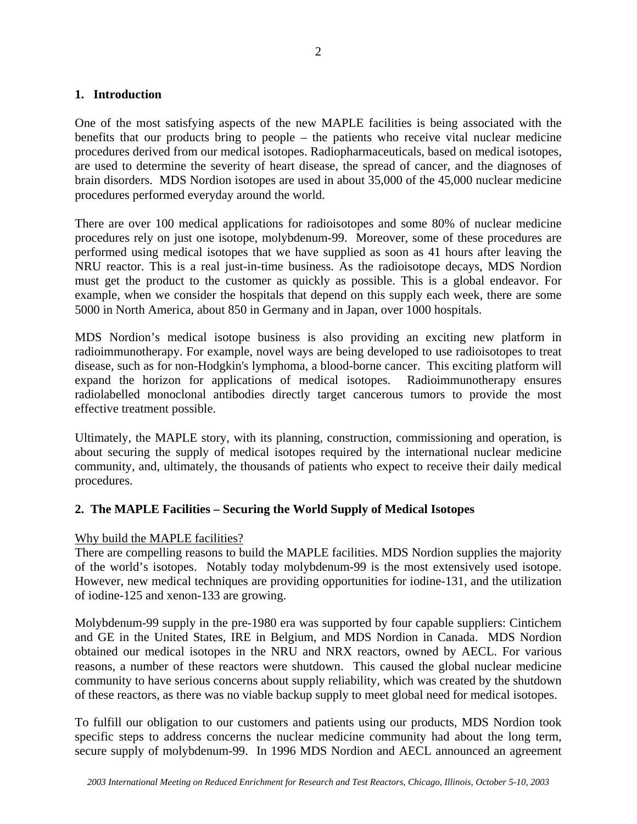### **1. Introduction**

One of the most satisfying aspects of the new MAPLE facilities is being associated with the benefits that our products bring to people – the patients who receive vital nuclear medicine procedures derived from our medical isotopes. Radiopharmaceuticals, based on medical isotopes, are used to determine the severity of heart disease, the spread of cancer, and the diagnoses of brain disorders. MDS Nordion isotopes are used in about 35,000 of the 45,000 nuclear medicine procedures performed everyday around the world.

There are over 100 medical applications for radioisotopes and some 80% of nuclear medicine procedures rely on just one isotope, molybdenum-99. Moreover, some of these procedures are performed using medical isotopes that we have supplied as soon as 41 hours after leaving the NRU reactor. This is a real just-in-time business. As the radioisotope decays, MDS Nordion must get the product to the customer as quickly as possible. This is a global endeavor. For example, when we consider the hospitals that depend on this supply each week, there are some 5000 in North America, about 850 in Germany and in Japan, over 1000 hospitals.

MDS Nordion's medical isotope business is also providing an exciting new platform in radioimmunotherapy. For example, novel ways are being developed to use radioisotopes to treat disease, such as for non-Hodgkin's lymphoma, a blood-borne cancer. This exciting platform will expand the horizon for applications of medical isotopes. Radioimmunotherapy ensures radiolabelled monoclonal antibodies directly target cancerous tumors to provide the most effective treatment possible.

Ultimately, the MAPLE story, with its planning, construction, commissioning and operation, is about securing the supply of medical isotopes required by the international nuclear medicine community, and, ultimately, the thousands of patients who expect to receive their daily medical procedures.

# **2. The MAPLE Facilities – Securing the World Supply of Medical Isotopes**

#### Why build the MAPLE facilities?

There are compelling reasons to build the MAPLE facilities. MDS Nordion supplies the majority of the world's isotopes. Notably today molybdenum-99 is the most extensively used isotope. However, new medical techniques are providing opportunities for iodine-131, and the utilization of iodine-125 and xenon-133 are growing.

Molybdenum-99 supply in the pre-1980 era was supported by four capable suppliers: Cintichem and GE in the United States, IRE in Belgium, and MDS Nordion in Canada. MDS Nordion obtained our medical isotopes in the NRU and NRX reactors, owned by AECL. For various reasons, a number of these reactors were shutdown. This caused the global nuclear medicine community to have serious concerns about supply reliability, which was created by the shutdown of these reactors, as there was no viable backup supply to meet global need for medical isotopes.

To fulfill our obligation to our customers and patients using our products, MDS Nordion took specific steps to address concerns the nuclear medicine community had about the long term, secure supply of molybdenum-99. In 1996 MDS Nordion and AECL announced an agreement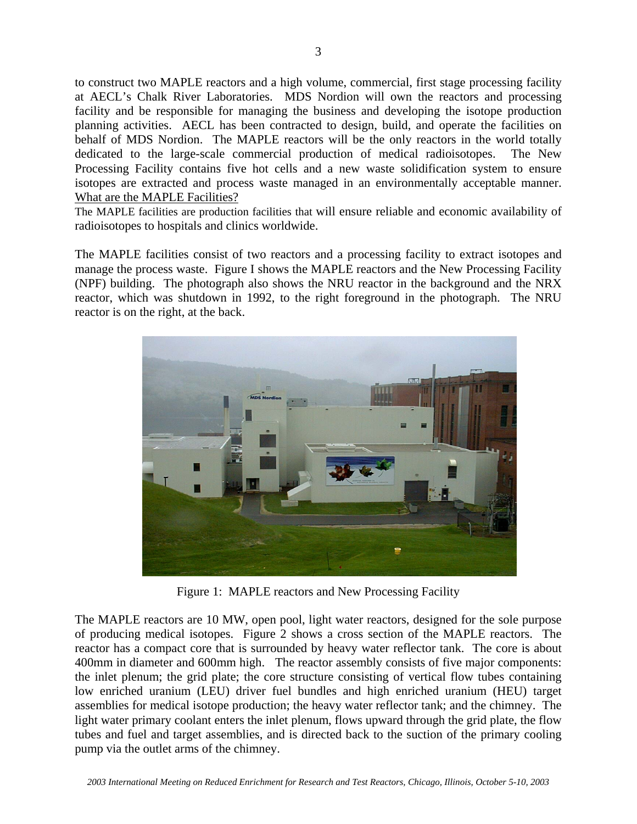to construct two MAPLE reactors and a high volume, commercial, first stage processing facility at AECL's Chalk River Laboratories. MDS Nordion will own the reactors and processing facility and be responsible for managing the business and developing the isotope production planning activities. AECL has been contracted to design, build, and operate the facilities on behalf of MDS Nordion. The MAPLE reactors will be the only reactors in the world totally dedicated to the large-scale commercial production of medical radioisotopes. The New Processing Facility contains five hot cells and a new waste solidification system to ensure isotopes are extracted and process waste managed in an environmentally acceptable manner. What are the MAPLE Facilities?

The MAPLE facilities are production facilities that will ensure reliable and economic availability of radioisotopes to hospitals and clinics worldwide.

The MAPLE facilities consist of two reactors and a processing facility to extract isotopes and manage the process waste. Figure I shows the MAPLE reactors and the New Processing Facility (NPF) building. The photograph also shows the NRU reactor in the background and the NRX reactor, which was shutdown in 1992, to the right foreground in the photograph. The NRU reactor is on the right, at the back.



Figure 1: MAPLE reactors and New Processing Facility

The MAPLE reactors are 10 MW, open pool, light water reactors, designed for the sole purpose of producing medical isotopes. Figure 2 shows a cross section of the MAPLE reactors. The reactor has a compact core that is surrounded by heavy water reflector tank. The core is about 400mm in diameter and 600mm high. The reactor assembly consists of five major components: the inlet plenum; the grid plate; the core structure consisting of vertical flow tubes containing low enriched uranium (LEU) driver fuel bundles and high enriched uranium (HEU) target assemblies for medical isotope production; the heavy water reflector tank; and the chimney. The light water primary coolant enters the inlet plenum, flows upward through the grid plate, the flow tubes and fuel and target assemblies, and is directed back to the suction of the primary cooling pump via the outlet arms of the chimney.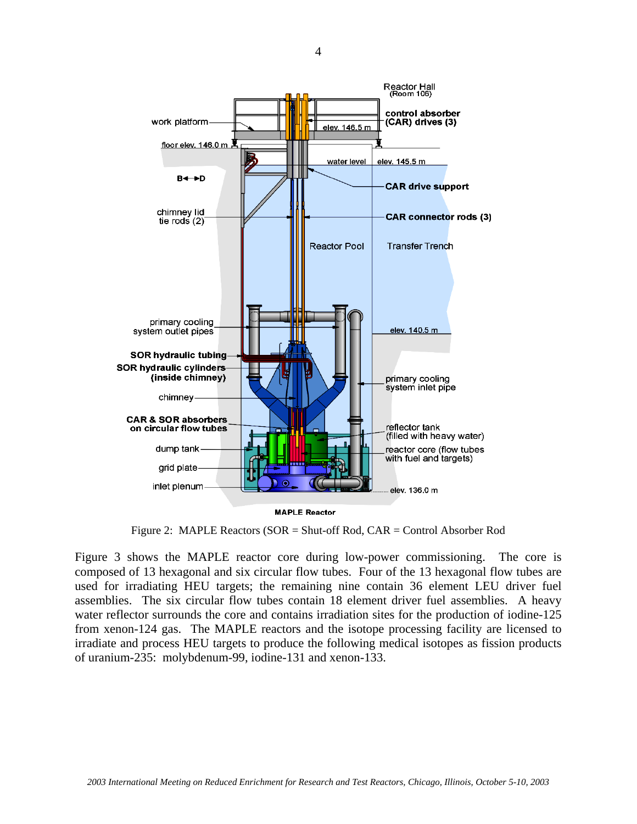

Figure 2: MAPLE Reactors (SOR = Shut-off Rod, CAR = Control Absorber Rod

Figure 3 shows the MAPLE reactor core during low-power commissioning. The core is composed of 13 hexagonal and six circular flow tubes. Four of the 13 hexagonal flow tubes are used for irradiating HEU targets; the remaining nine contain 36 element LEU driver fuel assemblies. The six circular flow tubes contain 18 element driver fuel assemblies. A heavy water reflector surrounds the core and contains irradiation sites for the production of iodine-125 from xenon-124 gas. The MAPLE reactors and the isotope processing facility are licensed to irradiate and process HEU targets to produce the following medical isotopes as fission products of uranium-235: molybdenum-99, iodine-131 and xenon-133.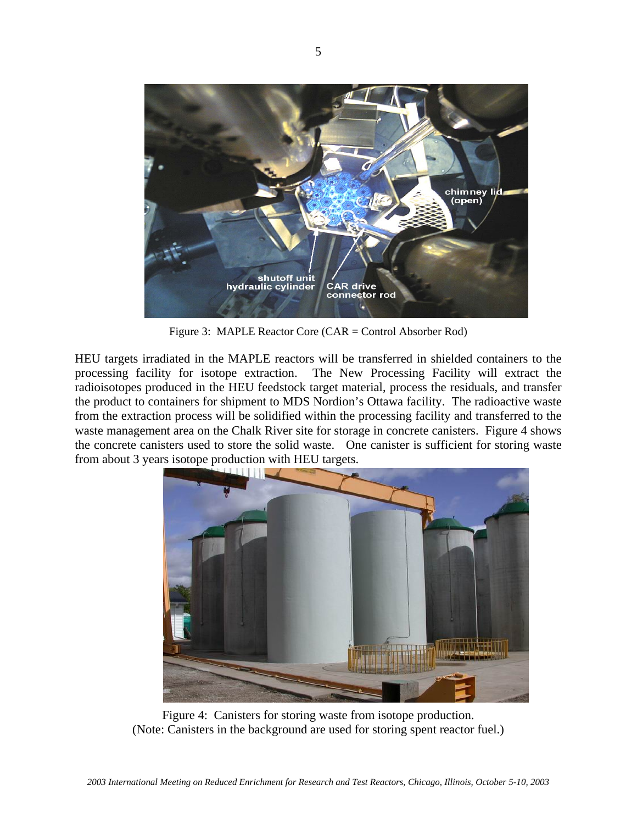

Figure 3: MAPLE Reactor Core (CAR = Control Absorber Rod)

HEU targets irradiated in the MAPLE reactors will be transferred in shielded containers to the processing facility for isotope extraction. The New Processing Facility will extract the radioisotopes produced in the HEU feedstock target material, process the residuals, and transfer the product to containers for shipment to MDS Nordion's Ottawa facility. The radioactive waste from the extraction process will be solidified within the processing facility and transferred to the waste management area on the Chalk River site for storage in concrete canisters. Figure 4 shows the concrete canisters used to store the solid waste. One canister is sufficient for storing waste from about 3 years isotope production with HEU targets.



Figure 4: Canisters for storing waste from isotope production. (Note: Canisters in the background are used for storing spent reactor fuel.)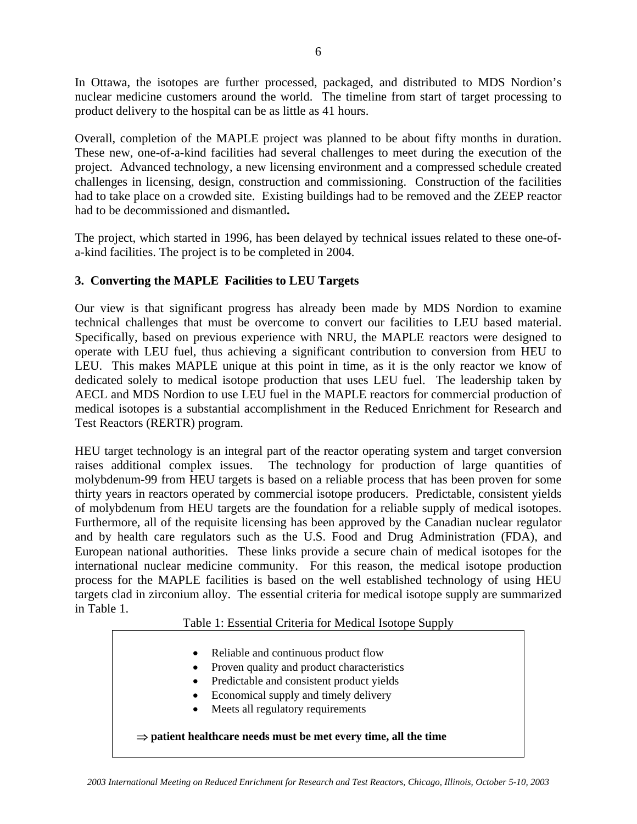In Ottawa, the isotopes are further processed, packaged, and distributed to MDS Nordion's nuclear medicine customers around the world. The timeline from start of target processing to product delivery to the hospital can be as little as 41 hours.

Overall, completion of the MAPLE project was planned to be about fifty months in duration. These new, one-of-a-kind facilities had several challenges to meet during the execution of the project. Advanced technology, a new licensing environment and a compressed schedule created challenges in licensing, design, construction and commissioning. Construction of the facilities had to take place on a crowded site. Existing buildings had to be removed and the ZEEP reactor had to be decommissioned and dismantled**.**

The project, which started in 1996, has been delayed by technical issues related to these one-ofa-kind facilities. The project is to be completed in 2004.

# **3. Converting the MAPLE Facilities to LEU Targets**

Our view is that significant progress has already been made by MDS Nordion to examine technical challenges that must be overcome to convert our facilities to LEU based material. Specifically, based on previous experience with NRU, the MAPLE reactors were designed to operate with LEU fuel, thus achieving a significant contribution to conversion from HEU to LEU. This makes MAPLE unique at this point in time, as it is the only reactor we know of dedicated solely to medical isotope production that uses LEU fuel. The leadership taken by AECL and MDS Nordion to use LEU fuel in the MAPLE reactors for commercial production of medical isotopes is a substantial accomplishment in the Reduced Enrichment for Research and Test Reactors (RERTR) program.

HEU target technology is an integral part of the reactor operating system and target conversion raises additional complex issues. The technology for production of large quantities of molybdenum-99 from HEU targets is based on a reliable process that has been proven for some thirty years in reactors operated by commercial isotope producers. Predictable, consistent yields of molybdenum from HEU targets are the foundation for a reliable supply of medical isotopes. Furthermore, all of the requisite licensing has been approved by the Canadian nuclear regulator and by health care regulators such as the U.S. Food and Drug Administration (FDA), and European national authorities. These links provide a secure chain of medical isotopes for the international nuclear medicine community. For this reason, the medical isotope production process for the MAPLE facilities is based on the well established technology of using HEU targets clad in zirconium alloy. The essential criteria for medical isotope supply are summarized in Table 1.

#### Table 1: Essential Criteria for Medical Isotope Supply

• Reliable and continuous product flow • Proven quality and product characteristics • Predictable and consistent product yields • Economical supply and timely delivery Meets all regulatory requirements ⇒ **patient healthcare needs must be met every time, all the time**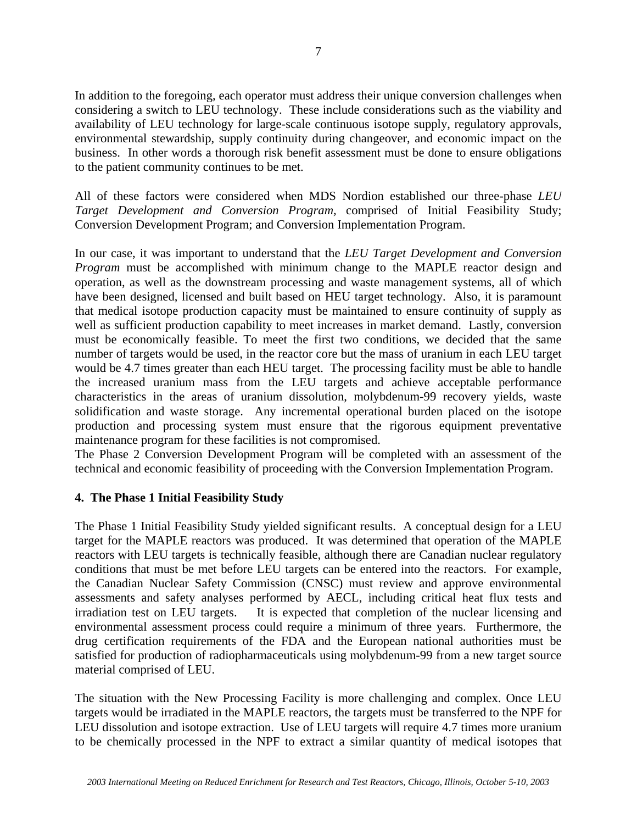In addition to the foregoing, each operator must address their unique conversion challenges when considering a switch to LEU technology. These include considerations such as the viability and availability of LEU technology for large-scale continuous isotope supply, regulatory approvals, environmental stewardship, supply continuity during changeover, and economic impact on the business. In other words a thorough risk benefit assessment must be done to ensure obligations to the patient community continues to be met.

All of these factors were considered when MDS Nordion established our three-phase *LEU Target Development and Conversion Program,* comprised of Initial Feasibility Study; Conversion Development Program; and Conversion Implementation Program.

In our case, it was important to understand that the *LEU Target Development and Conversion Program* must be accomplished with minimum change to the MAPLE reactor design and operation, as well as the downstream processing and waste management systems, all of which have been designed, licensed and built based on HEU target technology. Also, it is paramount that medical isotope production capacity must be maintained to ensure continuity of supply as well as sufficient production capability to meet increases in market demand. Lastly, conversion must be economically feasible. To meet the first two conditions, we decided that the same number of targets would be used, in the reactor core but the mass of uranium in each LEU target would be 4.7 times greater than each HEU target. The processing facility must be able to handle the increased uranium mass from the LEU targets and achieve acceptable performance characteristics in the areas of uranium dissolution, molybdenum-99 recovery yields, waste solidification and waste storage. Any incremental operational burden placed on the isotope production and processing system must ensure that the rigorous equipment preventative maintenance program for these facilities is not compromised.

The Phase 2 Conversion Development Program will be completed with an assessment of the technical and economic feasibility of proceeding with the Conversion Implementation Program.

# **4. The Phase 1 Initial Feasibility Study**

The Phase 1 Initial Feasibility Study yielded significant results. A conceptual design for a LEU target for the MAPLE reactors was produced. It was determined that operation of the MAPLE reactors with LEU targets is technically feasible, although there are Canadian nuclear regulatory conditions that must be met before LEU targets can be entered into the reactors. For example, the Canadian Nuclear Safety Commission (CNSC) must review and approve environmental assessments and safety analyses performed by AECL, including critical heat flux tests and irradiation test on LEU targets. It is expected that completion of the nuclear licensing and environmental assessment process could require a minimum of three years. Furthermore, the drug certification requirements of the FDA and the European national authorities must be satisfied for production of radiopharmaceuticals using molybdenum-99 from a new target source material comprised of LEU.

The situation with the New Processing Facility is more challenging and complex. Once LEU targets would be irradiated in the MAPLE reactors, the targets must be transferred to the NPF for LEU dissolution and isotope extraction. Use of LEU targets will require 4.7 times more uranium to be chemically processed in the NPF to extract a similar quantity of medical isotopes that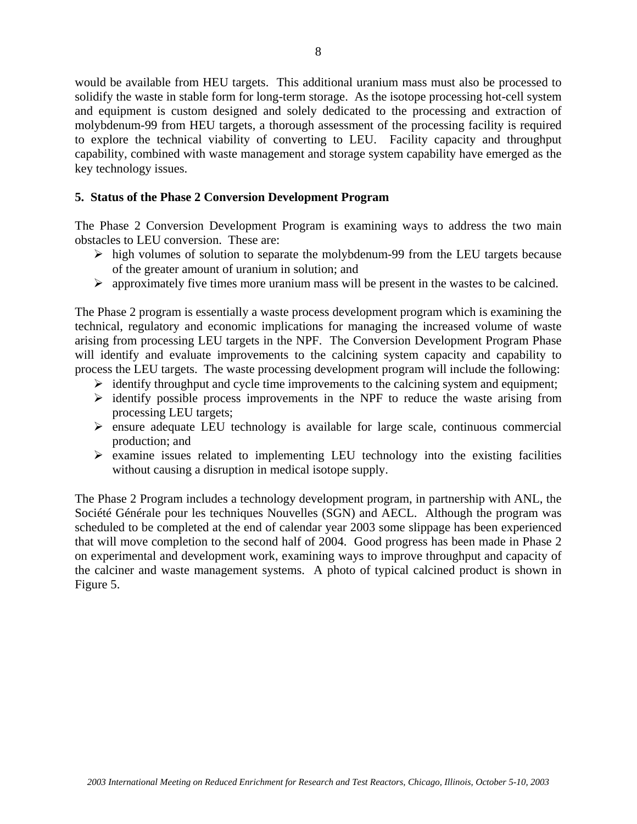would be available from HEU targets. This additional uranium mass must also be processed to solidify the waste in stable form for long-term storage. As the isotope processing hot-cell system and equipment is custom designed and solely dedicated to the processing and extraction of molybdenum-99 from HEU targets, a thorough assessment of the processing facility is required to explore the technical viability of converting to LEU. Facility capacity and throughput capability, combined with waste management and storage system capability have emerged as the key technology issues.

### **5. Status of the Phase 2 Conversion Development Program**

The Phase 2 Conversion Development Program is examining ways to address the two main obstacles to LEU conversion. These are:

- $\triangleright$  high volumes of solution to separate the molybdenum-99 from the LEU targets because of the greater amount of uranium in solution; and
- $\triangleright$  approximately five times more uranium mass will be present in the wastes to be calcined.

The Phase 2 program is essentially a waste process development program which is examining the technical, regulatory and economic implications for managing the increased volume of waste arising from processing LEU targets in the NPF. The Conversion Development Program Phase will identify and evaluate improvements to the calcining system capacity and capability to process the LEU targets. The waste processing development program will include the following:

- $\triangleright$  identify throughput and cycle time improvements to the calcining system and equipment;
- $\triangleright$  identify possible process improvements in the NPF to reduce the waste arising from processing LEU targets;
- $\triangleright$  ensure adequate LEU technology is available for large scale, continuous commercial production; and
- $\triangleright$  examine issues related to implementing LEU technology into the existing facilities without causing a disruption in medical isotope supply.

The Phase 2 Program includes a technology development program, in partnership with ANL, the Société Générale pour les techniques Nouvelles (SGN) and AECL. Although the program was scheduled to be completed at the end of calendar year 2003 some slippage has been experienced that will move completion to the second half of 2004. Good progress has been made in Phase 2 on experimental and development work, examining ways to improve throughput and capacity of the calciner and waste management systems. A photo of typical calcined product is shown in Figure 5.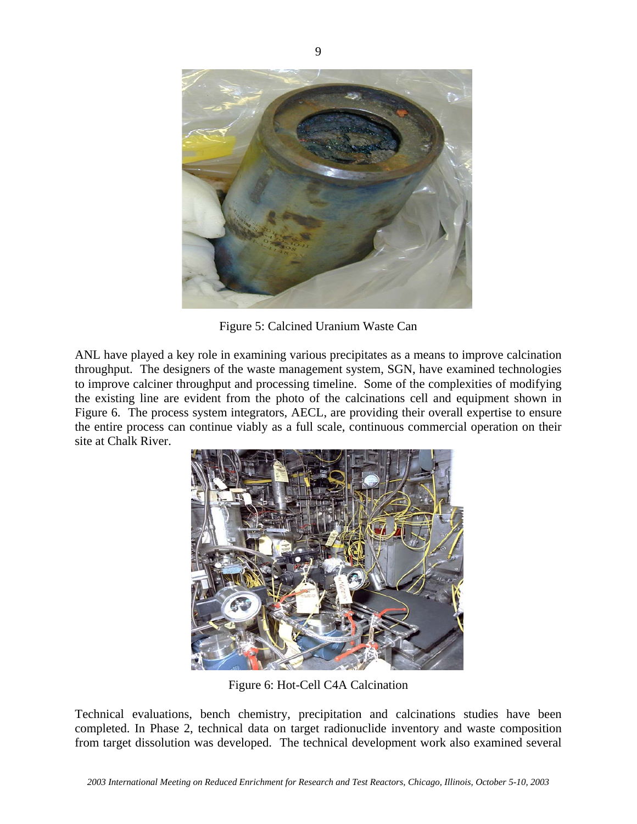

Figure 5: Calcined Uranium Waste Can

ANL have played a key role in examining various precipitates as a means to improve calcination throughput. The designers of the waste management system, SGN, have examined technologies to improve calciner throughput and processing timeline. Some of the complexities of modifying the existing line are evident from the photo of the calcinations cell and equipment shown in Figure 6. The process system integrators, AECL, are providing their overall expertise to ensure the entire process can continue viably as a full scale, continuous commercial operation on their site at Chalk River.



Figure 6: Hot-Cell C4A Calcination

Technical evaluations, bench chemistry, precipitation and calcinations studies have been completed. In Phase 2, technical data on target radionuclide inventory and waste composition from target dissolution was developed. The technical development work also examined several